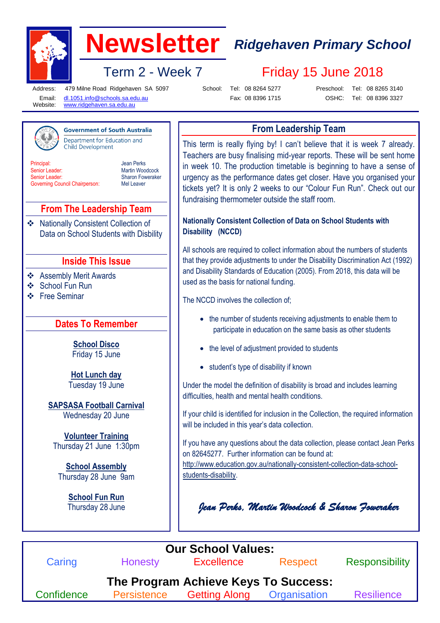

# **Newsletter** *Ridgehaven Primary School*

Term 2 - Week 7 Friday 15 June 2018

Jean Perks Martin Woodcock Sharon Foweraker Mel Leaver

Address: Email: Website:

**Principal** Senior Leader: Senior Leader:

479 Milne Road Ridgehaven SA 5097 [dl.1051.info@schools.sa.edu.au](mailto:dl.1051.info@schools.sa.edu.au)

**Government of South Australia** Department for Education and

School: Tel: 08 8264 5277 Fax: 08 8396 1715 Preschool:

Tel: 08 8265 3140

[www.ridgehaven.sa.edu.au](http://www.ridgehaven.sa.edu.au/)

**Child Development** 

**From The Leadership Team**

**Inside This Issue**

**Dates To Remember**

**School Disco** Friday 15 June

**Hot Lunch day** Tuesday 19 June

**SAPSASA Football Carnival** Wednesday 20 June

**Volunteer Training** Thursday 21 June 1:30pm

**School Assembly** Thursday 28 June 9am

> **School Fun Run** Thursday 28 June

❖ Assembly Merit Awards

 School Fun Run Free Seminar

Data on School Students with Disbility

Nationally Consistent Collection of

OSHC: Tel: 08 8396 3327

# **From Leadership Team**

This term is really flying by! I can't believe that it is week 7 already. Teachers are busy finalising mid-year reports. These will be sent home in week 10. The production timetable is beginning to have a sense of urgency as the performance dates get closer. Have you organised your tickets yet? It is only 2 weeks to our "Colour Fun Run". Check out our fundraising thermometer outside the staff room.

#### **Nationally Consistent Collection of Data on School Students with Disability (NCCD)**

All schools are required to collect information about the numbers of students that they provide adjustments to under the Disability Discrimination Act (1992) and Disability Standards of Education (2005). From 2018, this data will be used as the basis for national funding.

The NCCD involves the collection of;

- the number of students receiving adjustments to enable them to participate in education on the same basis as other students
- the level of adjustment provided to students
- student's type of disability if known

Under the model the definition of disability is broad and includes learning difficulties, health and mental health conditions.

If your child is identified for inclusion in the Collection, the required information will be included in this year's data collection.

If you have any questions about the data collection, please contact Jean Perks on 82645277. Further information can be found at:

[http://www.education.gov.au/nationally-consistent-collection-data-school](http://www.education.gov.au/nationally-consistent-collection-data-school-students-disability)[students-disability.](http://www.education.gov.au/nationally-consistent-collection-data-school-students-disability)

*Jean Perks, Martin Woodcock & Sharon Foweraker*



Governing Council Chairperson: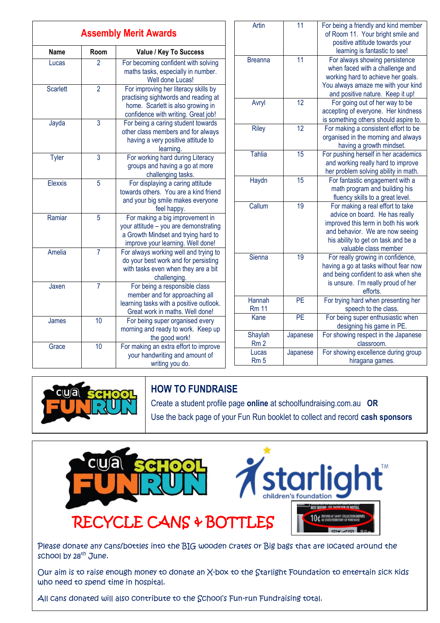| <b>Assembly Merit Awards</b> |                |                                                                                                                                                          |
|------------------------------|----------------|----------------------------------------------------------------------------------------------------------------------------------------------------------|
| Name                         | Room           | Value / Key To Success                                                                                                                                   |
| Lucas                        | $\overline{2}$ | For becoming confident with solving<br>maths tasks, especially in number.<br>Well done Lucas!                                                            |
| <b>Scarlett</b>              | $\overline{2}$ | For improving her literacy skills by<br>practising sightwords and reading at<br>home. Scarlett is also growing in<br>confidence with writing. Great job! |
| Jayda                        | 3              | For being a caring student towards<br>other class members and for always<br>having a very positive attitude to<br>learning.                              |
| <b>Tyler</b>                 | $\overline{3}$ | For working hard during Literacy<br>groups and having a go at more<br>challenging tasks.                                                                 |
| Elexxis                      | 5              | For displaying a caring attitude<br>towards others. You are a kind friend<br>and your big smile makes everyone<br>feel happy.                            |
| Ramiar                       | 5              | For making a big improvement in<br>your attitude - you are demonstrating<br>a Growth Mindset and trying hard to<br>improve your learning. Well done!     |
| Amelia                       | 7              | For always working well and trying to<br>do your best work and for persisting<br>with tasks even when they are a bit<br>challenging.                     |
| Jaxen                        | $\overline{7}$ | For being a responsible class<br>member and for approaching all<br>learning tasks with a positive outlook.<br>Great work in maths. Well done!            |
| James                        | 10             | For being super organised every<br>morning and ready to work. Keep up<br>the good work!                                                                  |
| Grace                        | 10             | For making an extra effort to improve<br>your handwriting and amount of<br>writing you do.                                                               |

| Artin           | 11              | For being a friendly and kind member  |
|-----------------|-----------------|---------------------------------------|
|                 |                 | of Room 11. Your bright smile and     |
|                 |                 | positive attitude towards your        |
|                 |                 | learning is fantastic to see!         |
| <b>Breanna</b>  | $\overline{11}$ | For always showing persistence        |
|                 |                 | when faced with a challenge and       |
|                 |                 | working hard to achieve her goals.    |
|                 |                 | You always amaze me with your kind    |
|                 |                 | and positive nature. Keep it up!      |
| Avryl           | $\overline{12}$ | For going out of her way to be        |
|                 |                 | accepting of everyone. Her kindness   |
|                 |                 | is something others should aspire to. |
| <b>Riley</b>    | $\overline{12}$ | For making a consistent effort to be  |
|                 |                 | organised in the morning and always   |
|                 |                 | having a growth mindset.              |
| <b>Tahlia</b>   | 15              | For pushing herself in her academics  |
|                 |                 | and working really hard to improve    |
|                 |                 | her problem solving ability in math.  |
| Haydn           | 15              | For fantastic engagement with a       |
|                 |                 | math program and building his         |
|                 |                 | fluency skills to a great level.      |
| Callum          | 19              | For making a real effort to take      |
|                 |                 | advice on board. He has really        |
|                 |                 | improved this term in both his work   |
|                 |                 | and behavior. We are now seeing       |
|                 |                 | his ability to get on task and be a   |
|                 |                 | valuable class member                 |
| Sienna          | 19              | For really growing in confidence,     |
|                 |                 | having a go at tasks without fear now |
|                 |                 | and being confident to ask when she   |
|                 |                 | is unsure. I'm really proud of her    |
|                 |                 | efforts.                              |
| Hannah          | PE              | For trying hard when presenting her   |
| <b>Rm 11</b>    |                 | speech to the class.                  |
| Kane            | PE              | For being super enthusiastic when     |
|                 |                 | designing his game in PE.             |
| Shaylah         | Japanese        | For showing respect in the Japanese   |
| Rm <sub>2</sub> |                 | classroom.                            |
| Lucas           | Japanese        | For showing excellence during group   |
| Rm <sub>5</sub> |                 | hiragana games.                       |



## **HOW TO FUNDRAISE**

Create a student profile page **online** at schoolfundraising.com.au **OR** Use the back page of your Fun Run booklet to collect and record **cash sponsors**



Please donate any cans/bottles into the BIG wooden crates or Big bags that are located around the school by 28<sup>th</sup> June.

Our aim is to raise enough money to donate an X-box to the Starlight Foundation to entertain sick kids who need to spend time in hospital.

All cans donated will also contribute to the School's Fun-run Fundraising total.